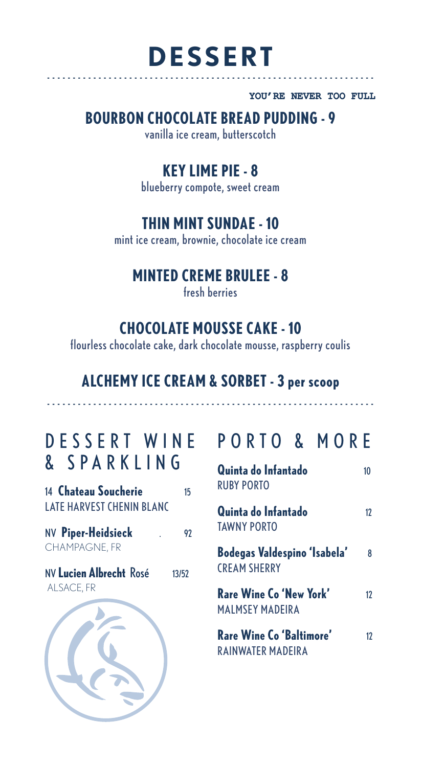## **DESSERT** ----------------------------------------------------------------

YOU'RE NEVER TOO FULL

## **BOURBON CHOCOLATE BREAD PUDDING - 9**

vanilla ice cream, butterscotch

### **KEY LIME PIE - 8**

blueberry compote, sweet cream

### **THIN MINT SUNDAE - 10**

mint ice cream, brownie, chocolate ice cream

#### **MINTED CREME BRULEE - 8**

fresh berries

### **CHOCOLATE MOUSSE CAKE - 10**

flourless chocolate cake, dark chocolate mousse, raspberry coulis

## **ALCHEMY ICE CREAM & SORBET - 3 per scoop** ----------------------------------------------------------------

# & SPARKLING

14 **Chateau Soucherie** 15 LATE HARVEST CHENIN BLANC

NV **Piper-Heidsieck** . 92 CHAMPAGNE, FR

NV **Lucien Albrecht** Rosé 13/52 ALSACE, FR

## DESSERT WINE PORTO & MORE

| Quinta do Infantado<br><b>RUBY PORTO</b>                   | 10 |
|------------------------------------------------------------|----|
| Quinta do Infantado<br><b>TAWNY PORTO</b>                  | 17 |
| <b>Bodegas Valdespino 'Isabela'</b><br><b>CREAM SHERRY</b> | ጸ  |
| Rare Wine Co 'New York'<br><b>MALMSEY MADEIRA</b>          | 17 |
| Rare Wine Co 'Baltimore'<br>RAINWATER MADEIRA              | 17 |